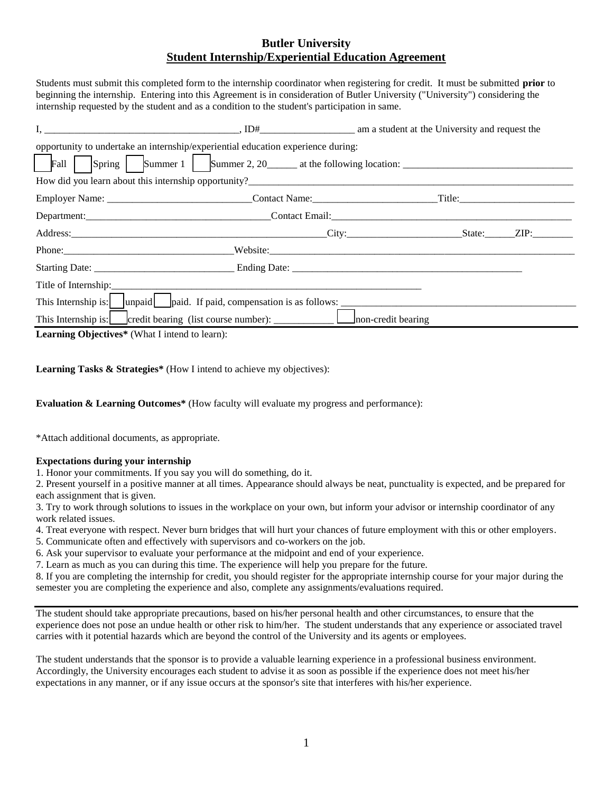## **Butler University Student Internship/Experiential Education Agreement**

Students must submit this completed form to the internship coordinator when registering for credit. It must be submitted **prior** to beginning the internship. Entering into this Agreement is in consideration of Butler University ("University") considering the internship requested by the student and as a condition to the student's participation in same.

| I,                                                                                                                                                                                                                                     | am a student at the University and request the and the University and request the University and request the                                                                                                                  |  |  |  |  |
|----------------------------------------------------------------------------------------------------------------------------------------------------------------------------------------------------------------------------------------|-------------------------------------------------------------------------------------------------------------------------------------------------------------------------------------------------------------------------------|--|--|--|--|
| opportunity to undertake an internship/experiential education experience during:                                                                                                                                                       |                                                                                                                                                                                                                               |  |  |  |  |
|                                                                                                                                                                                                                                        |                                                                                                                                                                                                                               |  |  |  |  |
| How did you learn about this internship opportunity?<br><u> Learner and the contract of the contract of the contract of the contract of the contract of the contract of the contract of the contract of the contract of the contra</u> |                                                                                                                                                                                                                               |  |  |  |  |
|                                                                                                                                                                                                                                        |                                                                                                                                                                                                                               |  |  |  |  |
|                                                                                                                                                                                                                                        | Department: Contact Email: Contact Email: Contact Email: Contact Email: Contact Email: Contact Email: Contact Email: Contact Email: Contact Email: Contact Email: Contact Email: Contact Email: Contact Email: Contact Email: |  |  |  |  |
|                                                                                                                                                                                                                                        |                                                                                                                                                                                                                               |  |  |  |  |
|                                                                                                                                                                                                                                        |                                                                                                                                                                                                                               |  |  |  |  |
|                                                                                                                                                                                                                                        |                                                                                                                                                                                                                               |  |  |  |  |
|                                                                                                                                                                                                                                        |                                                                                                                                                                                                                               |  |  |  |  |
| This Internship is: unpaid paid. If paid, compensation is as follows:                                                                                                                                                                  |                                                                                                                                                                                                                               |  |  |  |  |
|                                                                                                                                                                                                                                        |                                                                                                                                                                                                                               |  |  |  |  |
| $\mathbf{T}$ , $\mathbf{A}$ , $\mathbf{A}$ , $\mathbf{A}$ , $\mathbf{A}$ , $\mathbf{A}$ , $\mathbf{A}$ , $\mathbf{A}$ , $\mathbf{A}$                                                                                                   |                                                                                                                                                                                                                               |  |  |  |  |

**Learning Objectives\*** (What I intend to learn):

**Learning Tasks & Strategies\*** (How I intend to achieve my objectives):

**Evaluation & Learning Outcomes\*** (How faculty will evaluate my progress and performance):

\*Attach additional documents, as appropriate.

## **Expectations during your internship**

1. Honor your commitments. If you say you will do something, do it.

2. Present yourself in a positive manner at all times. Appearance should always be neat, punctuality is expected, and be prepared for each assignment that is given.

3. Try to work through solutions to issues in the workplace on your own, but inform your advisor or internship coordinator of any work related issues.

4. Treat everyone with respect. Never burn bridges that will hurt your chances of future employment with this or other employers.

5. Communicate often and effectively with supervisors and co-workers on the job.

6. Ask your supervisor to evaluate your performance at the midpoint and end of your experience.

7. Learn as much as you can during this time. The experience will help you prepare for the future.

8. If you are completing the internship for credit, you should register for the appropriate internship course for your major during the semester you are completing the experience and also, complete any assignments/evaluations required.

The student should take appropriate precautions, based on his/her personal health and other circumstances, to ensure that the experience does not pose an undue health or other risk to him/her. The student understands that any experience or associated travel carries with it potential hazards which are beyond the control of the University and its agents or employees.

The student understands that the sponsor is to provide a valuable learning experience in a professional business environment. Accordingly, the University encourages each student to advise it as soon as possible if the experience does not meet his/her expectations in any manner, or if any issue occurs at the sponsor's site that interferes with his/her experience.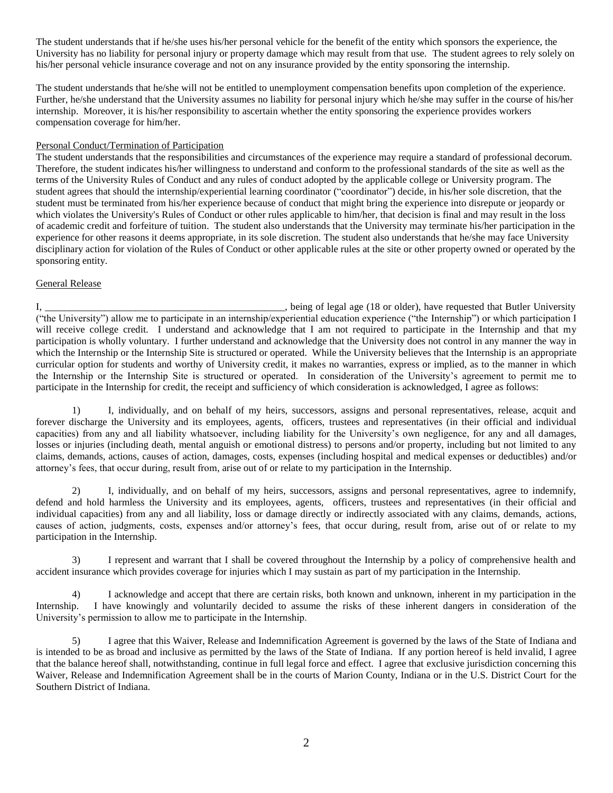The student understands that if he/she uses his/her personal vehicle for the benefit of the entity which sponsors the experience, the University has no liability for personal injury or property damage which may result from that use. The student agrees to rely solely on his/her personal vehicle insurance coverage and not on any insurance provided by the entity sponsoring the internship.

The student understands that he/she will not be entitled to unemployment compensation benefits upon completion of the experience. Further, he/she understand that the University assumes no liability for personal injury which he/she may suffer in the course of his/her internship. Moreover, it is his/her responsibility to ascertain whether the entity sponsoring the experience provides workers compensation coverage for him/her.

## Personal Conduct/Termination of Participation

The student understands that the responsibilities and circumstances of the experience may require a standard of professional decorum. Therefore, the student indicates his/her willingness to understand and conform to the professional standards of the site as well as the terms of the University Rules of Conduct and any rules of conduct adopted by the applicable college or University program. The student agrees that should the internship/experiential learning coordinator ("coordinator") decide, in his/her sole discretion, that the student must be terminated from his/her experience because of conduct that might bring the experience into disrepute or jeopardy or which violates the University's Rules of Conduct or other rules applicable to him/her, that decision is final and may result in the loss of academic credit and forfeiture of tuition. The student also understands that the University may terminate his/her participation in the experience for other reasons it deems appropriate, in its sole discretion. The student also understands that he/she may face University disciplinary action for violation of the Rules of Conduct or other applicable rules at the site or other property owned or operated by the sponsoring entity.

## General Release

I, \_\_\_\_\_\_\_\_\_\_\_\_\_\_\_\_\_\_\_\_\_\_\_\_\_\_\_\_\_\_\_\_\_\_\_\_\_\_\_\_\_\_\_\_\_\_\_\_, being of legal age (18 or older), have requested that Butler University ("the University") allow me to participate in an internship/experiential education experience ("the Internship") or which participation I will receive college credit. I understand and acknowledge that I am not required to participate in the Internship and that my participation is wholly voluntary. I further understand and acknowledge that the University does not control in any manner the way in which the Internship or the Internship Site is structured or operated. While the University believes that the Internship is an appropriate curricular option for students and worthy of University credit, it makes no warranties, express or implied, as to the manner in which the Internship or the Internship Site is structured or operated. In consideration of the University's agreement to permit me to participate in the Internship for credit, the receipt and sufficiency of which consideration is acknowledged, I agree as follows:

1) I, individually, and on behalf of my heirs, successors, assigns and personal representatives, release, acquit and forever discharge the University and its employees, agents, officers, trustees and representatives (in their official and individual capacities) from any and all liability whatsoever, including liability for the University's own negligence, for any and all damages, losses or injuries (including death, mental anguish or emotional distress) to persons and/or property, including but not limited to any claims, demands, actions, causes of action, damages, costs, expenses (including hospital and medical expenses or deductibles) and/or attorney's fees, that occur during, result from, arise out of or relate to my participation in the Internship.

2) I, individually, and on behalf of my heirs, successors, assigns and personal representatives, agree to indemnify, defend and hold harmless the University and its employees, agents, officers, trustees and representatives (in their official and individual capacities) from any and all liability, loss or damage directly or indirectly associated with any claims, demands, actions, causes of action, judgments, costs, expenses and/or attorney's fees, that occur during, result from, arise out of or relate to my participation in the Internship.

3) I represent and warrant that I shall be covered throughout the Internship by a policy of comprehensive health and accident insurance which provides coverage for injuries which I may sustain as part of my participation in the Internship.

4) I acknowledge and accept that there are certain risks, both known and unknown, inherent in my participation in the Internship. I have knowingly and voluntarily decided to assume the risks of these inherent dangers in consideration of the University's permission to allow me to participate in the Internship.

5) I agree that this Waiver, Release and Indemnification Agreement is governed by the laws of the State of Indiana and is intended to be as broad and inclusive as permitted by the laws of the State of Indiana. If any portion hereof is held invalid, I agree that the balance hereof shall, notwithstanding, continue in full legal force and effect. I agree that exclusive jurisdiction concerning this Waiver, Release and Indemnification Agreement shall be in the courts of Marion County, Indiana or in the U.S. District Court for the Southern District of Indiana.